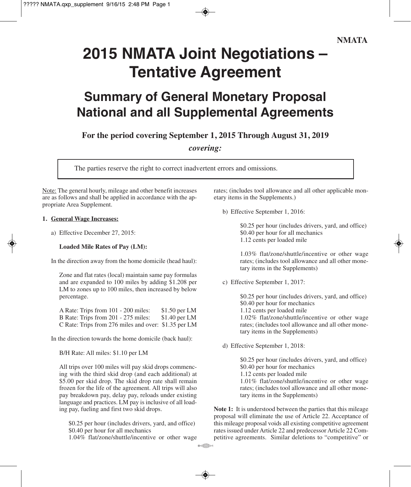# **2015 NMATA Joint Negotiations – Tentative Agreement**

### **Summary of General Monetary Proposal National and all Supplemental Agreements**

**For the period covering September 1, 2015 Through August 31, 2019**

*covering:*

 $\circ$  of  $\circledcirc$ 

The parties reserve the right to correct inadvertent errors and omissions.

Note: The general hourly, mileage and other benefit increases are as follows and shall be applied in accordance with the appropriate Area Supplement.

#### **1. General Wage Increases:**

a) Effective December 27, 2015:

#### **Loaded Mile Rates of Pay (LM):**

In the direction away from the home domicile (head haul):

Zone and flat rates (local) maintain same pay formulas and are expanded to 100 miles by adding \$1.208 per LM to zones up to 100 miles, then increased by below percentage.

A Rate: Trips from 101 - 200 miles: \$1.50 per LM<br>B Rate: Trips from 201 - 275 miles: \$1.40 per LM B Rate: Trips from 201 - 275 miles: C Rate: Trips from 276 miles and over: \$1.35 per LM

In the direction towards the home domicile (back haul):

B/H Rate: All miles: \$1.10 per LM

All trips over 100 miles will pay skid drops commencing with the third skid drop (and each additional) at \$5.00 per skid drop. The skid drop rate shall remain frozen for the life of the agreement. All trips will also pay breakdown pay, delay pay, reloads under existing language and practices. LM pay is inclusive of all loading pay, fueling and first two skid drops.

\$0.25 per hour (includes drivers, yard, and office) \$0.40 per hour for all mechanics

1.04% flat/zone/shuttle/incentive or other wage

rates; (includes tool allowance and all other applicable monetary items in the Supplements.)

b) Effective September 1, 2016:

\$0.25 per hour (includes drivers, yard, and office) \$0.40 per hour for all mechanics 1.12 cents per loaded mile

1.03% flat/zone/shuttle/incentive or other wage rates; (includes tool allowance and all other monetary items in the Supplements)

c) Effective September 1, 2017:

\$0.25 per hour (includes drivers, yard, and office) \$0.40 per hour for mechanics 1.12 cents per loaded mile 1.02% flat/zone/shuttle/incentive or other wage rates; (includes tool allowance and all other monetary items in the Supplements)

d) Effective September 1, 2018:

\$0.25 per hour (includes drivers, yard, and office) \$0.40 per hour for mechanics 1.12 cents per loaded mile 1.01% flat/zone/shuttle/incentive or other wage rates; (includes tool allowance and all other monetary items in the Supplements)

**Note 1:** It is understood between the parties that this mileage proposal will eliminate the use of Article 22. Acceptance of this mileage proposal voids all existing competitive agreement rates issued under Article 22 and predecessor Article 22 Competitive agreements. Similar deletions to "competitive" or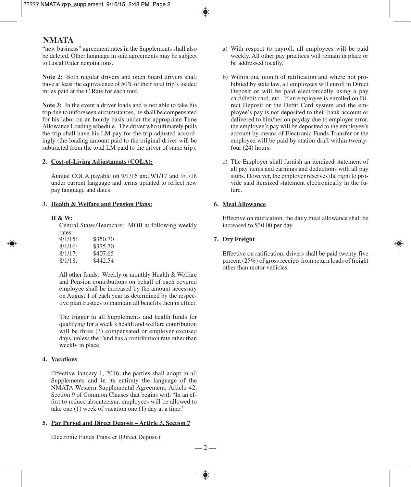#### **NMATA**

"new business" agreement rates in the Supplements shall also be deleted. Other language in said agreements may be subject to Local Rider negotiations.

**Note 2:** Both regular drivers and open board drivers shall have at least the equivalence of 50% of their total trip's loaded miles paid at the C Rate for each tour.

**Note 3:** In the event a driver loads and is not able to take his trip due to unforeseen circumstances, he shall be compensated for his labor on an hourly basis under the appropriate Time Allowance Loading schedule. The driver who ultimately pulls the trip shall have his LM pay for the trip adjusted accordingly (the loading amount paid to the original driver will be subtracted from the total LM paid to the driver of same trip).

#### **2. Cost-of-Living Adjustments (COLA):**

Annual COLA payable on 9/1/16 and 9/1/17 and 9/1/18 under current language and terms updated to reflect new pay language and dates.

#### **3. Health & Welfare and Pension Plans:**

#### **H & W:**

Central States/Teamcare: MOB at following weekly rates:

All other funds: Weekly or monthly Health & Welfare and Pension contributions on behalf of each covered employee shall be increased by the amount necessary on August 1 of each year as determined by the respective plan trustees to maintain all benefits then in effect.

The trigger in all Supplements and health funds for qualifying for a week's health and welfare contribution will be three  $(3)$  compensated or employer excused days, unless the Fund has a contribution rate other than weekly in place.

#### **4. Vacations**

Effective January 1, 2016, the parties shall adopt in all Supplements and in its entirety the language of the NMATA Western Supplemental Agreement, Article 42, Section 9 of Common Clauses that begins with "In an effort to reduce absenteeism, employees will be allowed to take one (1) week of vacation one (1) day at a time."

#### **5. Pay Period and Direct Deposit – Article 3, Section 7**

Electronic Funds Transfer (Direct Deposit)

— 2 —

- a) With respect to payroll, all employees will be paid weekly. All other pay practices will remain in place or be addressed locally.
- b) Within one month of ratification and where not prohibited by state law, all employees will enroll in Direct Deposit or will be paid electronically using a pay card/debit card, etc. If an employee is enrolled on Direct Deposit or the Debit Card system and the employee's pay is not deposited to their bank account or delivered to him/her on payday due to employer error, the employee's pay will be deposited to the employee's account by means of Electronic Funds Transfer or the employee will be paid by station draft within twentyfour (24) hours.
- c) The Employer shall furnish an itemized statement of all pay items and earnings and deductions with all pay stubs. However, the employer reserves the right to provide said itemized statement electronically in the future.

#### **6. Meal Allowance**

Effective on ratification, the daily meal allowance shall be increased to \$30.00 per day.

#### **7. Dry Freight**

Effective on ratification, drivers shall be paid twenty-five percent (25%) of gross receipts from return loads of freight other than motor vehicles.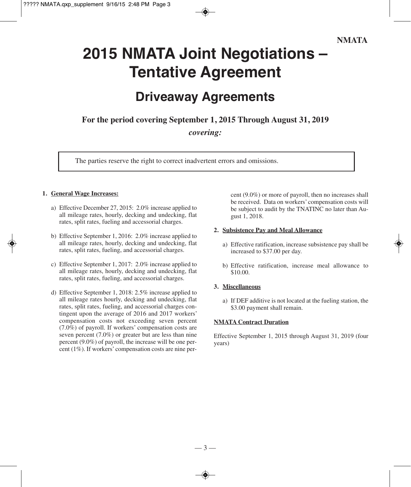#### **NMATA**

# **2015 NMATA Joint Negotiations – Tentative Agreement**

### **Driveaway Agreements**

**For the period covering September 1, 2015 Through August 31, 2019**

*covering:*

The parties reserve the right to correct inadvertent errors and omissions.

#### **1. General Wage Increases:**

- a) Effective December 27, 2015: 2.0% increase applied to all mileage rates, hourly, decking and undecking, flat rates, split rates, fueling and accessorial charges.
- b) Effective September 1, 2016: 2.0% increase applied to all mileage rates, hourly, decking and undecking, flat rates, split rates, fueling, and accessorial charges.
- c) Effective September 1, 2017: 2.0% increase applied to all mileage rates, hourly, decking and undecking, flat rates, split rates, fueling, and accessorial charges.
- d) Effective September 1, 2018: 2.5% increase applied to all mileage rates hourly, decking and undecking, flat rates, split rates, fueling, and accessorial charges contingent upon the average of 2016 and 2017 workers' compensation costs not exceeding seven percent (7.0%) of payroll. If workers' compensation costs are seven percent (7.0%) or greater but are less than nine percent (9.0%) of payroll, the increase will be one percent (1%). If workers' compensation costs are nine per-

cent (9.0%) or more of payroll, then no increases shall be received. Data on workers' compensation costs will be subject to audit by the TNATINC no later than August 1, 2018.

#### **2. Subsistence Pay and Meal Allowance**

- a) Effective ratification, increase subsistence pay shall be increased to \$37.00 per day.
- b) Effective ratification, increase meal allowance to \$10.00.

#### **3. Miscellaneous**

a) If DEF additive is not located at the fueling station, the \$3.00 payment shall remain.

#### **NMATA Contract Duration**

Effective September 1, 2015 through August 31, 2019 (four years)